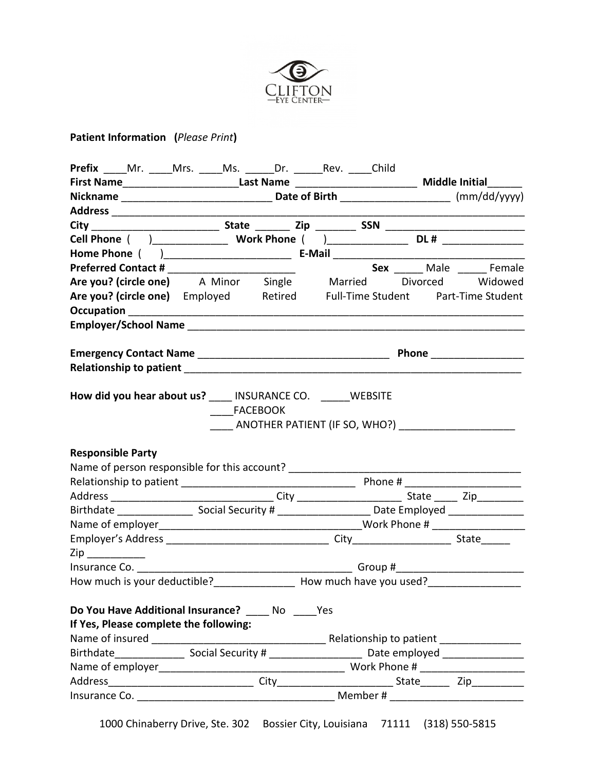

# **Patient Information (***Please Print***)**

| First Name____________________________Last Name _________________________________ Middle Initial________                                          |                                         |
|---------------------------------------------------------------------------------------------------------------------------------------------------|-----------------------------------------|
|                                                                                                                                                   |                                         |
|                                                                                                                                                   |                                         |
|                                                                                                                                                   |                                         |
|                                                                                                                                                   |                                         |
|                                                                                                                                                   |                                         |
|                                                                                                                                                   |                                         |
| <b>Preferred Contact #</b><br><b>A Minor</b> Single Married Divorced Widowed <b>Are you? (circle one)</b> A Minor Single Married Divorced Widowed | Sex ______ Male ______ Female           |
|                                                                                                                                                   |                                         |
| Are you? (circle one) Employed Retired Full-Time Student Part-Time Student                                                                        |                                         |
|                                                                                                                                                   |                                         |
|                                                                                                                                                   |                                         |
|                                                                                                                                                   |                                         |
|                                                                                                                                                   | Phone _____________________             |
|                                                                                                                                                   |                                         |
| How did you hear about us? ____ INSURANCE CO. _____WEBSITE<br><b>FACEBOOK</b><br>ANOTHER PATIENT (IF SO, WHO?)                                    |                                         |
| <b>Responsible Party</b>                                                                                                                          |                                         |
| Name of person responsible for this account? ___________________________________                                                                  |                                         |
|                                                                                                                                                   |                                         |
|                                                                                                                                                   |                                         |
|                                                                                                                                                   |                                         |
|                                                                                                                                                   |                                         |
|                                                                                                                                                   |                                         |
| $\mathsf{Zip} \_\_$                                                                                                                               |                                         |
|                                                                                                                                                   |                                         |
|                                                                                                                                                   |                                         |
|                                                                                                                                                   |                                         |
|                                                                                                                                                   |                                         |
| Do You Have Additional Insurance? No Yes                                                                                                          |                                         |
| How much is your deductible?___________________ How much have you used?_____________________________<br>If Yes, Please complete the following:    |                                         |
|                                                                                                                                                   | Relationship to patient _______________ |
|                                                                                                                                                   |                                         |
|                                                                                                                                                   |                                         |

1000 Chinaberry Drive, Ste. 302 Bossier City, Louisiana 71111 (318) 550-5815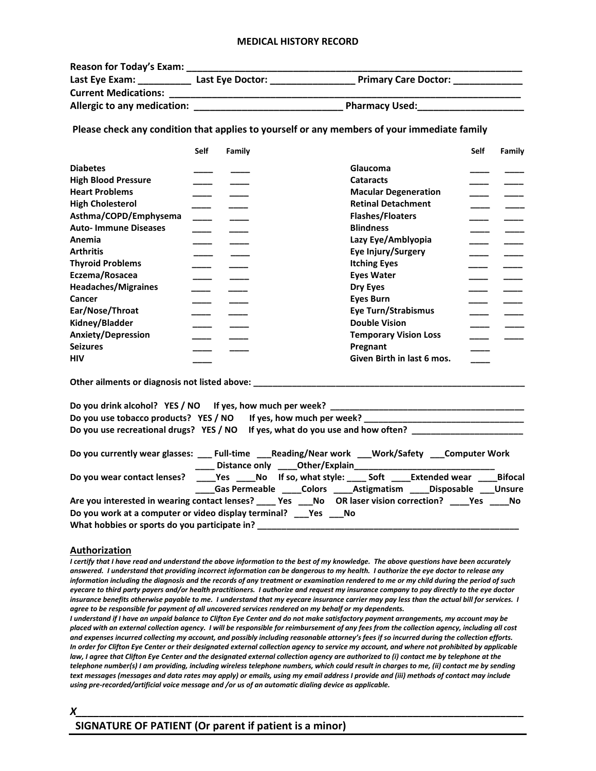### **MEDICAL HISTORY RECORD**

| <b>Reason for Today's Exam:</b> |                  |                             |
|---------------------------------|------------------|-----------------------------|
| Last Eye Exam:                  | Last Eye Doctor: | <b>Primary Care Doctor:</b> |
| <b>Current Medications:</b>     |                  |                             |
| Allergic to any medication:     |                  | <b>Pharmacy Used:</b>       |

**Please check any condition that applies to yourself or any members of your immediate family**

|                             | <b>Self</b> | Family |                              | <b>Self</b> | Family |
|-----------------------------|-------------|--------|------------------------------|-------------|--------|
| <b>Diabetes</b>             |             |        | Glaucoma                     |             |        |
| <b>High Blood Pressure</b>  |             |        | <b>Cataracts</b>             |             |        |
| <b>Heart Problems</b>       |             |        | <b>Macular Degeneration</b>  |             |        |
| <b>High Cholesterol</b>     |             |        | <b>Retinal Detachment</b>    |             |        |
| Asthma/COPD/Emphysema       |             |        | <b>Flashes/Floaters</b>      |             |        |
| <b>Auto-Immune Diseases</b> |             |        | <b>Blindness</b>             |             |        |
| Anemia                      |             |        | Lazy Eye/Amblyopia           |             |        |
| <b>Arthritis</b>            |             |        | Eye Injury/Surgery           |             |        |
| <b>Thyroid Problems</b>     |             |        | <b>Itching Eyes</b>          |             |        |
| Eczema/Rosacea              |             |        | <b>Eyes Water</b>            |             |        |
| <b>Headaches/Migraines</b>  |             |        | Dry Eyes                     |             |        |
| Cancer                      |             |        | <b>Eves Burn</b>             |             |        |
| Ear/Nose/Throat             |             |        | <b>Eye Turn/Strabismus</b>   |             |        |
|                             |             |        |                              |             |        |
| Kidney/Bladder              |             |        | <b>Double Vision</b>         |             |        |
| <b>Anxiety/Depression</b>   |             |        | <b>Temporary Vision Loss</b> |             |        |
| <b>Seizures</b>             |             |        | Pregnant                     |             |        |
| <b>HIV</b>                  |             |        | Given Birth in last 6 mos.   |             |        |

**Other ailments or diagnosis not listed above:** 

| Do you drink alcohol? YES / NO If yes, how much per week?                                                                                                                              |  |  |
|----------------------------------------------------------------------------------------------------------------------------------------------------------------------------------------|--|--|
| Do you use tobacco products? YES / NO If yes, how much per week?                                                                                                                       |  |  |
| Do you use recreational drugs? YES / NO If yes, what do you use and how often?                                                                                                         |  |  |
| Do you currently wear glasses: _____Full-time _____Reading/Near work ____Work/Safety ____Computer Work<br>____ Distance only ____ Other/Explain ________________                       |  |  |
| Do you wear contact lenses? _____Yes _____No lf so, what style: _____ Soft _____Extended wear ____Bifocal<br>____Gas Permeable _____Colors _____Astigmatism _____Disposable ____Unsure |  |  |
| Are you interested in wearing contact lenses? _____ Yes ____No OR laser vision correction? _____Yes _____No                                                                            |  |  |
| Do you work at a computer or video display terminal? ___ Yes ___ No<br>What hobbies or sports do you participate in?                                                                   |  |  |

### **Authorization**

*I certify that I have read and understand the above information to the best of my knowledge. The above questions have been accurately answered. I understand that providing incorrect information can be dangerous to my health. I authorize the eye doctor to release any information including the diagnosis and the records of any treatment or examination rendered to me or my child during the period of such eyecare to third party payers and/or health practitioners. I authorize and request my insurance company to pay directly to the eye doctor insurance benefits otherwise payable to me. I understand that my eyecare insurance carrier may pay less than the actual bill for services. I agree to be responsible for payment of all uncovered services rendered on my behalf or my dependents.*

*I understand if I have an unpaid balance to Clifton Eye Center and do not make satisfactory payment arrangements, my account may be placed with an external collection agency. I will be responsible for reimbursement of any fees from the collection agency, including all cost and expenses incurred collecting my account, and possibly including reasonable attorney's fees if so incurred during the collection efforts. In order for Clifton Eye Center or their designated external collection agency to service my account, and where not prohibited by applicable*  law, I agree that Clifton Eye Center and the designated external collection agency are authorized to (i) contact me by telephone at the *telephone number(s) I am providing, including wireless telephone numbers, which could result in charges to me, (ii) contact me by sending text messages (messages and data rates may apply) or emails, using my email address I provide and (iii) methods of contact may include using pre-recorded/artificial voice message and /or us of an automatic dialing device as applicable.* 

*X\_\_\_\_\_\_\_\_\_\_\_\_\_\_\_\_\_\_\_\_\_\_\_\_\_\_\_\_\_\_\_\_\_\_\_\_\_\_\_\_\_\_\_\_\_\_\_\_\_\_\_\_\_\_\_\_\_\_\_\_\_\_\_\_\_\_\_\_\_\_\_\_\_\_\_\_\_*

## **SIGNATURE OF PATIENT (Or parent if patient is a minor)**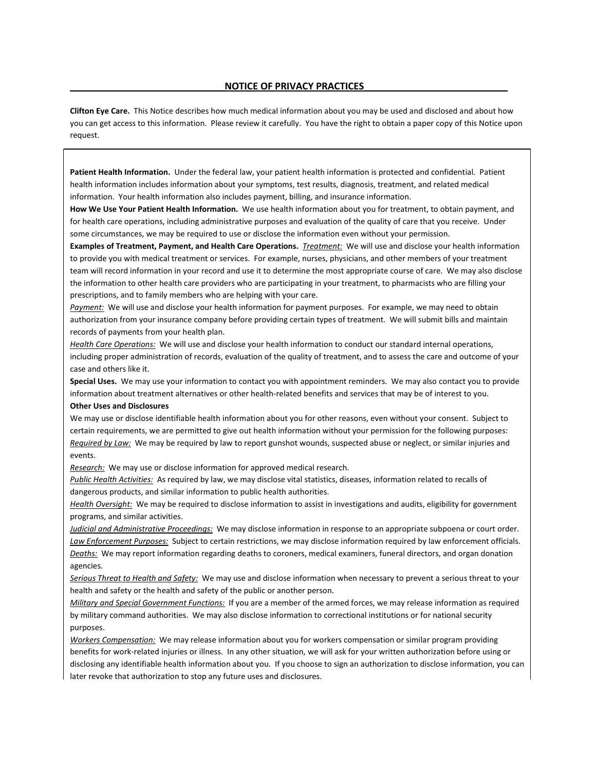#### **\_\_\_\_\_\_\_\_\_\_\_\_\_\_\_\_\_\_\_\_\_\_\_\_\_\_\_\_\_NOTICE OF PRIVACY PRACTICES\_\_\_\_\_\_\_\_\_\_\_\_\_\_\_\_\_\_\_\_\_\_\_\_\_\_\_**

**Clifton Eye Care.** This Notice describes how much medical information about you may be used and disclosed and about how you can get access to this information. Please review it carefully. You have the right to obtain a paper copy of this Notice upon request.

**Patient Health Information.** Under the federal law, your patient health information is protected and confidential. Patient health information includes information about your symptoms, test results, diagnosis, treatment, and related medical information. Your health information also includes payment, billing, and insurance information.

**How We Use Your Patient Health Information.** We use health information about you for treatment, to obtain payment, and for health care operations, including administrative purposes and evaluation of the quality of care that you receive. Under some circumstances, we may be required to use or disclose the information even without your permission.

**Examples of Treatment, Payment, and Health Care Operations.** *Treatment:* We will use and disclose your health information to provide you with medical treatment or services. For example, nurses, physicians, and other members of your treatment team will record information in your record and use it to determine the most appropriate course of care. We may also disclose the information to other health care providers who are participating in your treatment, to pharmacists who are filling your prescriptions, and to family members who are helping with your care.

*Payment:* We will use and disclose your health information for payment purposes. For example, we may need to obtain authorization from your insurance company before providing certain types of treatment. We will submit bills and maintain records of payments from your health plan.

*Health Care Operations:* We will use and disclose your health information to conduct our standard internal operations, including proper administration of records, evaluation of the quality of treatment, and to assess the care and outcome of your case and others like it.

**Special Uses.** We may use your information to contact you with appointment reminders. We may also contact you to provide information about treatment alternatives or other health-related benefits and services that may be of interest to you.

#### **Other Uses and Disclosures**

We may use or disclose identifiable health information about you for other reasons, even without your consent. Subject to certain requirements, we are permitted to give out health information without your permission for the following purposes: *Required by Law:* We may be required by law to report gunshot wounds, suspected abuse or neglect, or similar injuries and events.

*Research:* We may use or disclose information for approved medical research.

*Public Health Activities:* As required by law, we may disclose vital statistics, diseases, information related to recalls of dangerous products, and similar information to public health authorities.

*Health Oversight:* We may be required to disclose information to assist in investigations and audits, eligibility for government programs, and similar activities.

*Judicial and Administrative Proceedings:* We may disclose information in response to an appropriate subpoena or court order. *Law Enforcement Purposes:* Subject to certain restrictions, we may disclose information required by law enforcement officials. *Deaths:* We may report information regarding deaths to coroners, medical examiners, funeral directors, and organ donation agencies.

*Serious Threat to Health and Safety:* We may use and disclose information when necessary to prevent a serious threat to your health and safety or the health and safety of the public or another person.

*Military and Special Government Functions:* If you are a member of the armed forces, we may release information as required by military command authorities. We may also disclose information to correctional institutions or for national security purposes.

*Workers Compensation:* We may release information about you for workers compensation or similar program providing benefits for work-related injuries or illness. In any other situation, we will ask for your written authorization before using or disclosing any identifiable health information about you. If you choose to sign an authorization to disclose information, you can later revoke that authorization to stop any future uses and disclosures.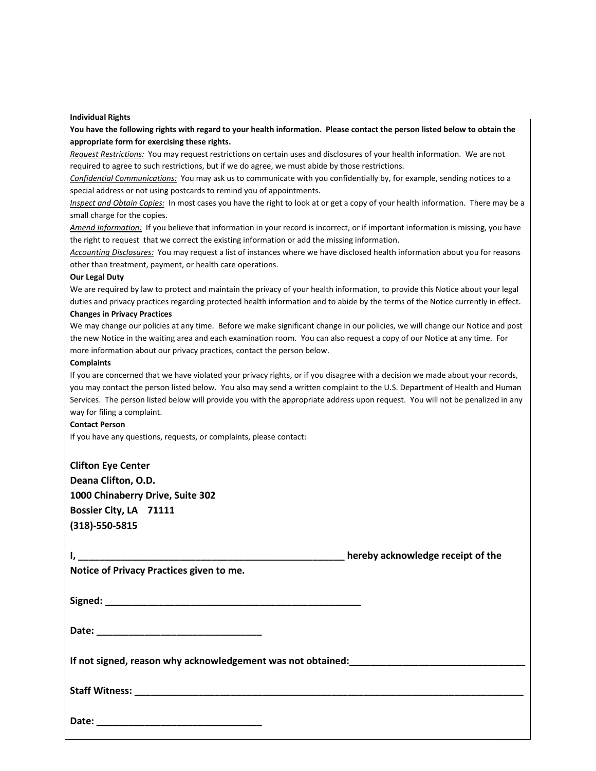#### **Individual Rights**

**You have the following rights with regard to your health information. Please contact the person listed below to obtain the appropriate form for exercising these rights.**

*Request Restrictions:* You may request restrictions on certain uses and disclosures of your health information. We are not required to agree to such restrictions, but if we do agree, we must abide by those restrictions.

*Confidential Communications:* You may ask us to communicate with you confidentially by, for example, sending notices to a special address or not using postcards to remind you of appointments.

*Inspect and Obtain Copies:* In most cases you have the right to look at or get a copy of your health information. There may be a small charge for the copies.

*Amend Information:* If you believe that information in your record is incorrect, or if important information is missing, you have the right to request that we correct the existing information or add the missing information.

*Accounting Disclosures:* You may request a list of instances where we have disclosed health information about you for reasons other than treatment, payment, or health care operations.

#### **Our Legal Duty**

We are required by law to protect and maintain the privacy of your health information, to provide this Notice about your legal duties and privacy practices regarding protected health information and to abide by the terms of the Notice currently in effect.

#### **Changes in Privacy Practices**

We may change our policies at any time. Before we make significant change in our policies, we will change our Notice and post the new Notice in the waiting area and each examination room. You can also request a copy of our Notice at any time. For more information about our privacy practices, contact the person below.

#### **Complaints**

If you are concerned that we have violated your privacy rights, or if you disagree with a decision we made about your records, you may contact the person listed below. You also may send a written complaint to the U.S. Department of Health and Human Services. The person listed below will provide you with the appropriate address upon request. You will not be penalized in any way for filing a complaint.

#### **Contact Person**

If you have any questions, requests, or complaints, please contact:

| <b>Clifton Eye Center</b>        |  |
|----------------------------------|--|
| Deana Clifton, O.D.              |  |
| 1000 Chinaberry Drive, Suite 302 |  |
| Bossier City, LA 71111           |  |
| $(318)-550-5815$                 |  |

| Notice of Privacy Practices given to me. |  |
|------------------------------------------|--|
|                                          |  |
|                                          |  |
|                                          |  |
|                                          |  |
|                                          |  |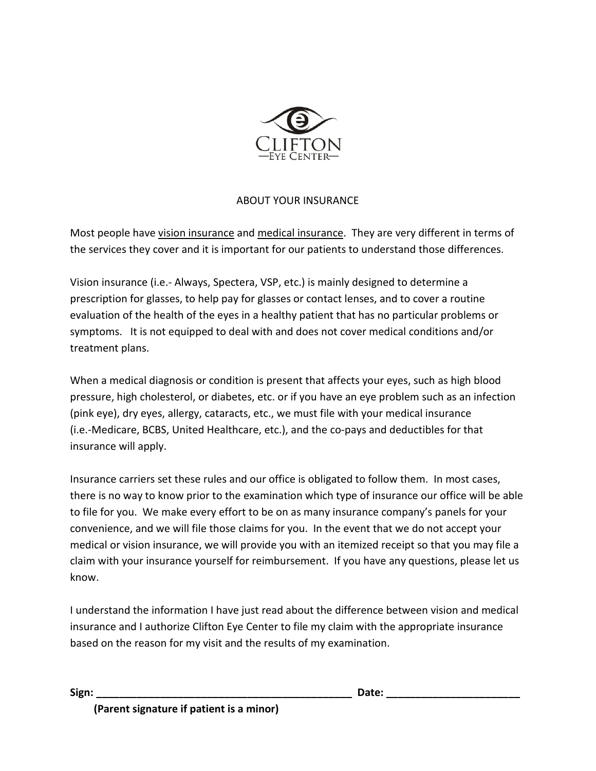

## ABOUT YOUR INSURANCE

Most people have vision insurance and medical insurance. They are very different in terms of the services they cover and it is important for our patients to understand those differences.

Vision insurance (i.e.- Always, Spectera, VSP, etc.) is mainly designed to determine a prescription for glasses, to help pay for glasses or contact lenses, and to cover a routine evaluation of the health of the eyes in a healthy patient that has no particular problems or symptoms. It is not equipped to deal with and does not cover medical conditions and/or treatment plans.

When a medical diagnosis or condition is present that affects your eyes, such as high blood pressure, high cholesterol, or diabetes, etc. or if you have an eye problem such as an infection (pink eye), dry eyes, allergy, cataracts, etc., we must file with your medical insurance (i.e.-Medicare, BCBS, United Healthcare, etc.), and the co-pays and deductibles for that insurance will apply.

Insurance carriers set these rules and our office is obligated to follow them. In most cases, there is no way to know prior to the examination which type of insurance our office will be able to file for you. We make every effort to be on as many insurance company's panels for your convenience, and we will file those claims for you. In the event that we do not accept your medical or vision insurance, we will provide you with an itemized receipt so that you may file a claim with your insurance yourself for reimbursement. If you have any questions, please let us know.

I understand the information I have just read about the difference between vision and medical insurance and I authorize Clifton Eye Center to file my claim with the appropriate insurance based on the reason for my visit and the results of my examination.

**Sign: \_\_\_\_\_\_\_\_\_\_\_\_\_\_\_\_\_\_\_\_\_\_\_\_\_\_\_\_\_\_\_\_\_\_\_\_\_\_\_\_\_\_\_\_ Date: \_\_\_\_\_\_\_\_\_\_\_\_\_\_\_\_\_\_\_\_\_\_\_**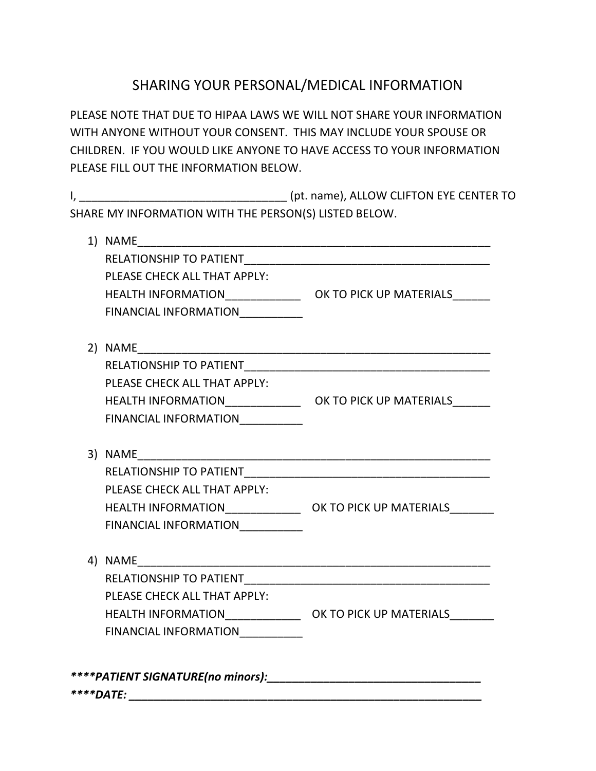# SHARING YOUR PERSONAL/MEDICAL INFORMATION

PLEASE NOTE THAT DUE TO HIPAA LAWS WE WILL NOT SHARE YOUR INFORMATION WITH ANYONE WITHOUT YOUR CONSENT. THIS MAY INCLUDE YOUR SPOUSE OR CHILDREN. IF YOU WOULD LIKE ANYONE TO HAVE ACCESS TO YOUR INFORMATION PLEASE FILL OUT THE INFORMATION BELOW.

I, \_\_\_\_\_\_\_\_\_\_\_\_\_\_\_\_\_\_\_\_\_\_\_\_\_\_\_\_\_\_\_\_\_ (pt. name), ALLOW CLIFTON EYE CENTER TO SHARE MY INFORMATION WITH THE PERSON(S) LISTED BELOW.

| PLEASE CHECK ALL THAT APPLY:     |  |
|----------------------------------|--|
|                                  |  |
| FINANCIAL INFORMATION__________  |  |
|                                  |  |
|                                  |  |
| PLEASE CHECK ALL THAT APPLY:     |  |
|                                  |  |
| FINANCIAL INFORMATION___________ |  |
|                                  |  |
|                                  |  |
| PLEASE CHECK ALL THAT APPLY:     |  |
|                                  |  |
| FINANCIAL INFORMATION__________  |  |
|                                  |  |
|                                  |  |
| PLEASE CHECK ALL THAT APPLY:     |  |
|                                  |  |
| FINANCIAL INFORMATION___________ |  |
|                                  |  |
| ****DATE:                        |  |